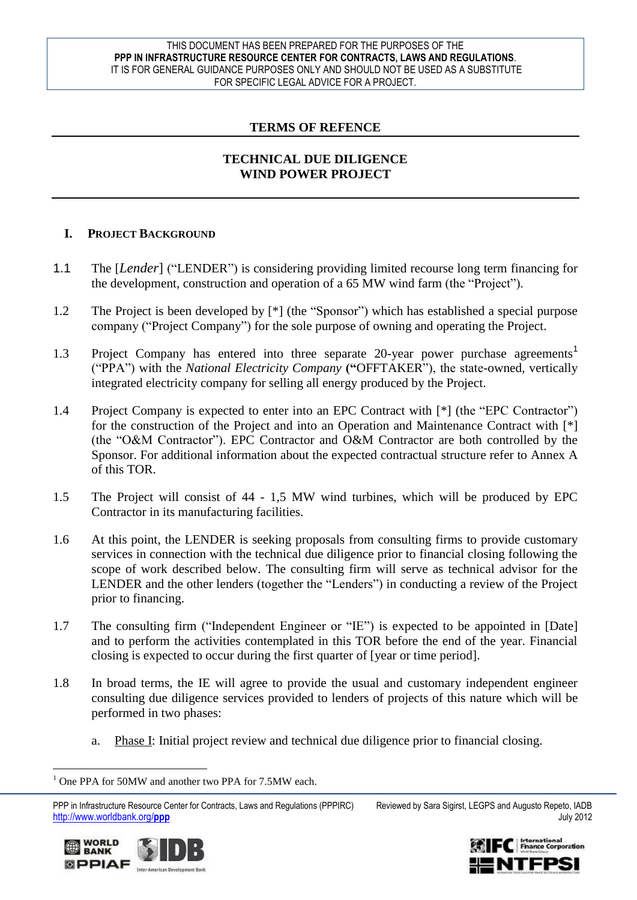#### THIS DOCUMENT HAS BEEN PREPARED FOR THE PURPOSES OF THE **PPP IN INFRASTRUCTURE RESOURCE CENTER FOR CONTRACTS, LAWS AND REGULATIONS**. IT IS FOR GENERAL GUIDANCE PURPOSES ONLY AND SHOULD NOT BE USED AS A SUBSTITUTE FOR SPECIFIC LEGAL ADVICE FOR A PROJECT.

### **TERMS OF REFENCE**

### **TECHNICAL DUE DILIGENCE WIND POWER PROJECT**

### **I. PROJECT BACKGROUND**

- 1.1 The [*Lender*] ("LENDER") is considering providing limited recourse long term financing for the development, construction and operation of a 65 MW wind farm (the "Project").
- 1.2 The Project is been developed by  $[$ <sup>\*</sup> $]$  (the "Sponsor") which has established a special purpose company ("Project Company") for the sole purpose of owning and operating the Project.
- 1.3 Project Company has entered into three separate 20-year power purchase agreements<sup>1</sup> ("PPA") with the *National Electricity Company* ("OFFTAKER"), the state-owned, vertically integrated electricity company for selling all energy produced by the Project.
- 1.4 Project Company is expected to enter into an EPC Contract with [\*] (the "EPC Contractor") for the construction of the Project and into an Operation and Maintenance Contract with [\*] (the "O&M Contractor"). EPC Contractor and O&M Contractor are both controlled by the Sponsor. For additional information about the expected contractual structure refer to Annex A of this TOR.
- 1.5 The Project will consist of 44 1,5 MW wind turbines, which will be produced by EPC Contractor in its manufacturing facilities.
- 1.6 At this point, the LENDER is seeking proposals from consulting firms to provide customary services in connection with the technical due diligence prior to financial closing following the scope of work described below. The consulting firm will serve as technical advisor for the LENDER and the other lenders (together the "Lenders") in conducting a review of the Project prior to financing.
- 1.7 The consulting firm ("Independent Engineer or "IE") is expected to be appointed in [Date] and to perform the activities contemplated in this TOR before the end of the year. Financial closing is expected to occur during the first quarter of [year or time period].
- 1.8 In broad terms, the IE will agree to provide the usual and customary independent engineer consulting due diligence services provided to lenders of projects of this nature which will be performed in two phases:
	- a. Phase I: Initial project review and technical due diligence prior to financial closing.

PPP in Infrastructure Resource Center for Contracts, Laws and Regulations (PPPIRC) Reviewed by Sara Sigirst, LEGPS and Augusto Repeto, IADB http://www.worldbank.org/**ppp** July 2012



 $\overline{a}$ 



<sup>&</sup>lt;sup>1</sup> One PPA for 50MW and another two PPA for 7.5MW each.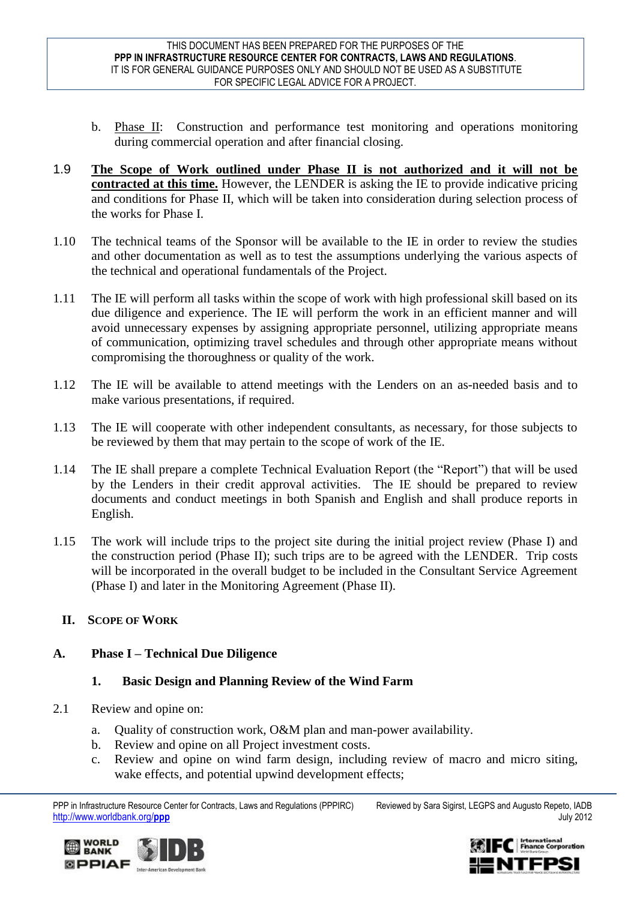- b. Phase II: Construction and performance test monitoring and operations monitoring during commercial operation and after financial closing.
- 1.9 **The Scope of Work outlined under Phase II is not authorized and it will not be contracted at this time.** However, the LENDER is asking the IE to provide indicative pricing and conditions for Phase II, which will be taken into consideration during selection process of the works for Phase I.
- 1.10 The technical teams of the Sponsor will be available to the IE in order to review the studies and other documentation as well as to test the assumptions underlying the various aspects of the technical and operational fundamentals of the Project.
- 1.11 The IE will perform all tasks within the scope of work with high professional skill based on its due diligence and experience. The IE will perform the work in an efficient manner and will avoid unnecessary expenses by assigning appropriate personnel, utilizing appropriate means of communication, optimizing travel schedules and through other appropriate means without compromising the thoroughness or quality of the work.
- 1.12 The IE will be available to attend meetings with the Lenders on an as-needed basis and to make various presentations, if required.
- 1.13 The IE will cooperate with other independent consultants, as necessary, for those subjects to be reviewed by them that may pertain to the scope of work of the IE.
- 1.14 The IE shall prepare a complete Technical Evaluation Report (the "Report") that will be used by the Lenders in their credit approval activities. The IE should be prepared to review documents and conduct meetings in both Spanish and English and shall produce reports in English.
- 1.15 The work will include trips to the project site during the initial project review (Phase I) and the construction period (Phase II); such trips are to be agreed with the LENDER. Trip costs will be incorporated in the overall budget to be included in the Consultant Service Agreement (Phase I) and later in the Monitoring Agreement (Phase II).

# **II. SCOPE OF WORK**

### **A. Phase I – Technical Due Diligence**

### **1. Basic Design and Planning Review of the Wind Farm**

- 2.1 Review and opine on:
	- a. Quality of construction work, O&M plan and man-power availability.
	- b. Review and opine on all Project investment costs.
	- c. Review and opine on wind farm design, including review of macro and micro siting, wake effects, and potential upwind development effects;





PPP in Infrastructure Resource Center for Contracts, Laws and Regulations (PPPIRC) Reviewed by Sara Sigirst, LEGPS and Augusto Repeto, IADB http://www.worldbank.org/**ppp** July 2012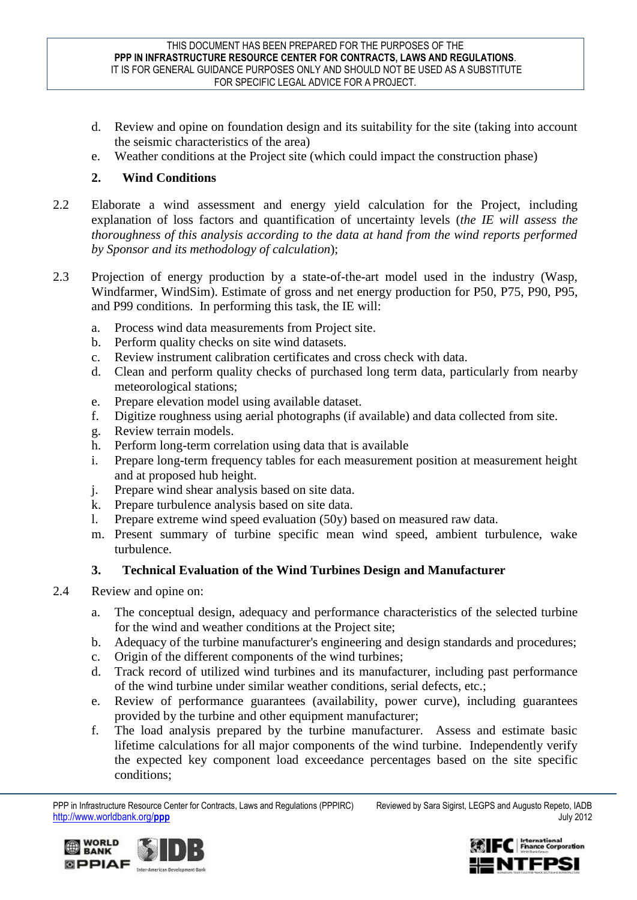- d. Review and opine on foundation design and its suitability for the site (taking into account the seismic characteristics of the area)
- e. Weather conditions at the Project site (which could impact the construction phase)

## **2. Wind Conditions**

- 2.2 Elaborate a wind assessment and energy yield calculation for the Project, including explanation of loss factors and quantification of uncertainty levels (*the IE will assess the thoroughness of this analysis according to the data at hand from the wind reports performed by Sponsor and its methodology of calculation*);
- 2.3 Projection of energy production by a state-of-the-art model used in the industry (Wasp, Windfarmer, WindSim). Estimate of gross and net energy production for P50, P75, P90, P95, and P99 conditions. In performing this task, the IE will:
	- a. Process wind data measurements from Project site.
	- b. Perform quality checks on site wind datasets.
	- c. Review instrument calibration certificates and cross check with data.
	- d. Clean and perform quality checks of purchased long term data, particularly from nearby meteorological stations;
	- e. Prepare elevation model using available dataset.
	- f. Digitize roughness using aerial photographs (if available) and data collected from site.
	- g. Review terrain models.
	- h. Perform long-term correlation using data that is available
	- i. Prepare long-term frequency tables for each measurement position at measurement height and at proposed hub height.
	- j. Prepare wind shear analysis based on site data.
	- k. Prepare turbulence analysis based on site data.
	- l. Prepare extreme wind speed evaluation (50y) based on measured raw data.
	- m. Present summary of turbine specific mean wind speed, ambient turbulence, wake turbulence.

# **3. Technical Evaluation of the Wind Turbines Design and Manufacturer**

- 2.4 Review and opine on:
	- a. The conceptual design, adequacy and performance characteristics of the selected turbine for the wind and weather conditions at the Project site;
	- b. Adequacy of the turbine manufacturer's engineering and design standards and procedures;
	- c. Origin of the different components of the wind turbines;
	- d. Track record of utilized wind turbines and its manufacturer, including past performance of the wind turbine under similar weather conditions, serial defects, etc.;
	- e. Review of performance guarantees (availability, power curve), including guarantees provided by the turbine and other equipment manufacturer;
	- f. The load analysis prepared by the turbine manufacturer. Assess and estimate basic lifetime calculations for all major components of the wind turbine. Independently verify the expected key component load exceedance percentages based on the site specific conditions;

PPP in Infrastructure Resource Center for Contracts, Laws and Regulations (PPPIRC) Reviewed by Sara Sigirst, LEGPS and Augusto Repeto, IADB http://www.worldbank.org/**ppp** July 2012





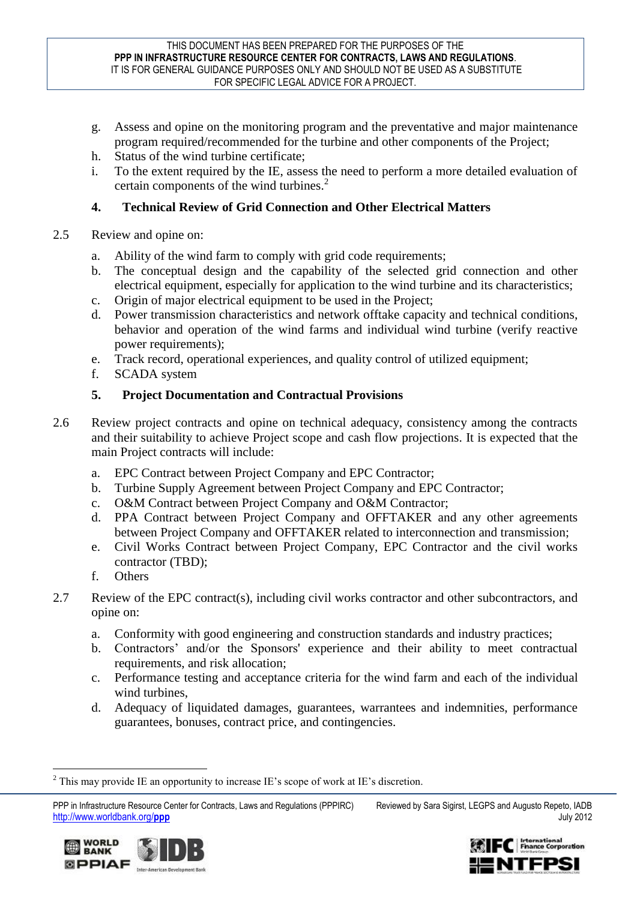- g. Assess and opine on the monitoring program and the preventative and major maintenance program required/recommended for the turbine and other components of the Project;
- h. Status of the wind turbine certificate;
- i. To the extent required by the IE, assess the need to perform a more detailed evaluation of certain components of the wind turbines.<sup>2</sup>

# **4. Technical Review of Grid Connection and Other Electrical Matters**

- 2.5 Review and opine on:
	- a. Ability of the wind farm to comply with grid code requirements;
	- b. The conceptual design and the capability of the selected grid connection and other electrical equipment, especially for application to the wind turbine and its characteristics;
	- c. Origin of major electrical equipment to be used in the Project;
	- d. Power transmission characteristics and network offtake capacity and technical conditions, behavior and operation of the wind farms and individual wind turbine (verify reactive power requirements);
	- e. Track record, operational experiences, and quality control of utilized equipment;
	- f. SCADA system

# **5. Project Documentation and Contractual Provisions**

- 2.6 Review project contracts and opine on technical adequacy, consistency among the contracts and their suitability to achieve Project scope and cash flow projections. It is expected that the main Project contracts will include:
	- a. EPC Contract between Project Company and EPC Contractor;
	- b. Turbine Supply Agreement between Project Company and EPC Contractor;
	- c. O&M Contract between Project Company and O&M Contractor;
	- d. PPA Contract between Project Company and OFFTAKER and any other agreements between Project Company and OFFTAKER related to interconnection and transmission;
	- e. Civil Works Contract between Project Company, EPC Contractor and the civil works contractor (TBD);
	- f. Others
- 2.7 Review of the EPC contract(s), including civil works contractor and other subcontractors, and opine on:
	- a. Conformity with good engineering and construction standards and industry practices;
	- b. Contractors' and/or the Sponsors' experience and their ability to meet contractual requirements, and risk allocation;
	- c. Performance testing and acceptance criteria for the wind farm and each of the individual wind turbines,
	- d. Adequacy of liquidated damages, guarantees, warrantees and indemnities, performance guarantees, bonuses, contract price, and contingencies.

PPP in Infrastructure Resource Center for Contracts, Laws and Regulations (PPPIRC) Reviewed by Sara Sigirst, LEGPS and Augusto Repeto, IADB http://www.worldbank.org/**ppp** July 2012



**WORLD BANK SPPIAF** Inter-American Development Rank

 $\overline{a}$ <sup>2</sup> This may provide IE an opportunity to increase IE's scope of work at IE's discretion.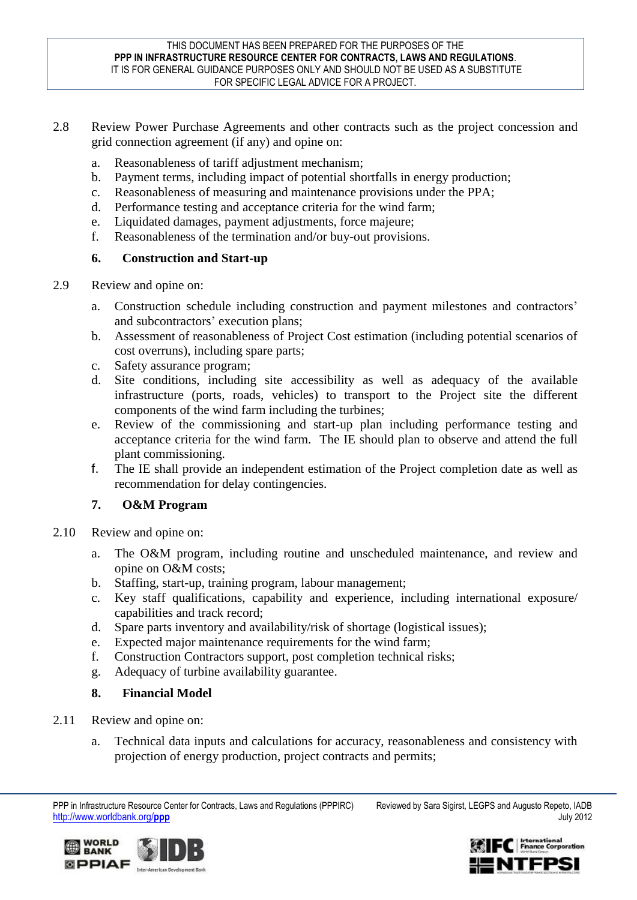- 2.8 Review Power Purchase Agreements and other contracts such as the project concession and grid connection agreement (if any) and opine on:
	- a. Reasonableness of tariff adjustment mechanism;
	- b. Payment terms, including impact of potential shortfalls in energy production;
	- c. Reasonableness of measuring and maintenance provisions under the PPA;
	- d. Performance testing and acceptance criteria for the wind farm;
	- e. Liquidated damages, payment adjustments, force majeure;
	- f. Reasonableness of the termination and/or buy-out provisions.

### **6. Construction and Start-up**

- 2.9 Review and opine on:
	- a. Construction schedule including construction and payment milestones and contractors' and subcontractors' execution plans;
	- b. Assessment of reasonableness of Project Cost estimation (including potential scenarios of cost overruns), including spare parts;
	- c. Safety assurance program;
	- d. Site conditions, including site accessibility as well as adequacy of the available infrastructure (ports, roads, vehicles) to transport to the Project site the different components of the wind farm including the turbines;
	- e. Review of the commissioning and start-up plan including performance testing and acceptance criteria for the wind farm. The IE should plan to observe and attend the full plant commissioning.
	- f. The IE shall provide an independent estimation of the Project completion date as well as recommendation for delay contingencies.

### **7. O&M Program**

- 2.10 Review and opine on:
	- a. The O&M program, including routine and unscheduled maintenance, and review and opine on O&M costs;
	- b. Staffing, start-up, training program, labour management;
	- c. Key staff qualifications, capability and experience, including international exposure/ capabilities and track record;
	- d. Spare parts inventory and availability/risk of shortage (logistical issues);
	- e. Expected major maintenance requirements for the wind farm;
	- f. Construction Contractors support, post completion technical risks;
	- g. Adequacy of turbine availability guarantee.
	- **8. Financial Model**
- 2.11 Review and opine on:

**SPPIAF MANUSCRIPTION** 

**WORLD** 

**BANK** 

a. Technical data inputs and calculations for accuracy, reasonableness and consistency with projection of energy production, project contracts and permits;

PPP in Infrastructure Resource Center for Contracts, Laws and Regulations (PPPIRC) Reviewed by Sara Sigirst, LEGPS and Augusto Repeto, IADB http://www.worldbank.org/**ppp** July 2012



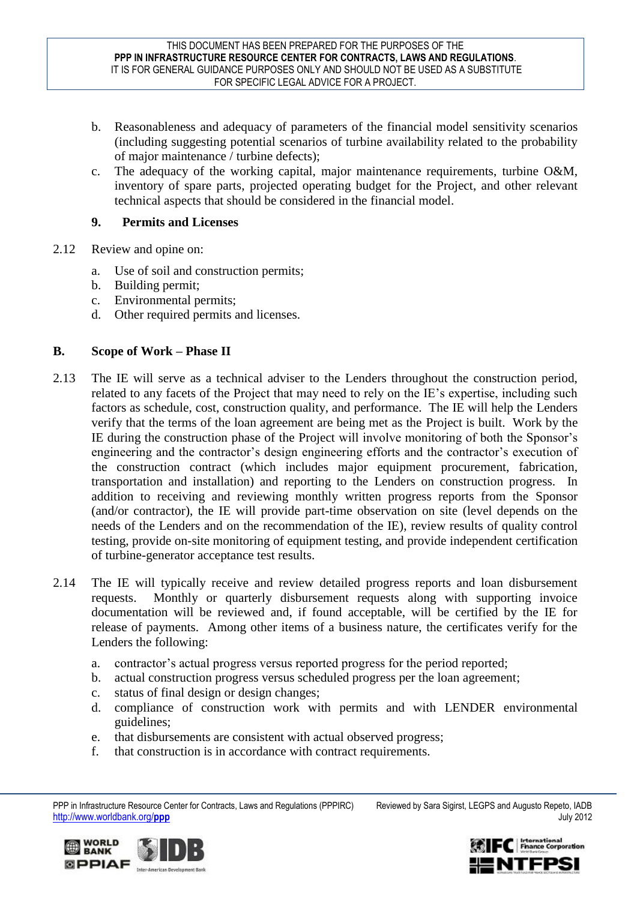- b. Reasonableness and adequacy of parameters of the financial model sensitivity scenarios (including suggesting potential scenarios of turbine availability related to the probability of major maintenance / turbine defects);
- c. The adequacy of the working capital, major maintenance requirements, turbine O&M, inventory of spare parts, projected operating budget for the Project, and other relevant technical aspects that should be considered in the financial model.

### **9. Permits and Licenses**

- 2.12 Review and opine on:
	- a. Use of soil and construction permits;
	- b. Building permit;
	- c. Environmental permits;
	- d. Other required permits and licenses.

### **B. Scope of Work – Phase II**

- 2.13 The IE will serve as a technical adviser to the Lenders throughout the construction period, related to any facets of the Project that may need to rely on the IE's expertise, including such factors as schedule, cost, construction quality, and performance. The IE will help the Lenders verify that the terms of the loan agreement are being met as the Project is built. Work by the IE during the construction phase of the Project will involve monitoring of both the Sponsor's engineering and the contractor's design engineering efforts and the contractor's execution of the construction contract (which includes major equipment procurement, fabrication, transportation and installation) and reporting to the Lenders on construction progress. In addition to receiving and reviewing monthly written progress reports from the Sponsor (and/or contractor), the IE will provide part-time observation on site (level depends on the needs of the Lenders and on the recommendation of the IE), review results of quality control testing, provide on-site monitoring of equipment testing, and provide independent certification of turbine-generator acceptance test results.
- 2.14 The IE will typically receive and review detailed progress reports and loan disbursement requests. Monthly or quarterly disbursement requests along with supporting invoice documentation will be reviewed and, if found acceptable, will be certified by the IE for release of payments. Among other items of a business nature, the certificates verify for the Lenders the following:
	- a. contractor's actual progress versus reported progress for the period reported;
	- b. actual construction progress versus scheduled progress per the loan agreement;
	- c. status of final design or design changes;
	- d. compliance of construction work with permits and with LENDER environmental guidelines;
	- e. that disbursements are consistent with actual observed progress;
	- f. that construction is in accordance with contract requirements.





PPP in Infrastructure Resource Center for Contracts, Laws and Regulations (PPPIRC) Reviewed by Sara Sigirst, LEGPS and Augusto Repeto, IADB http://www.worldbank.org/**ppp** July 2012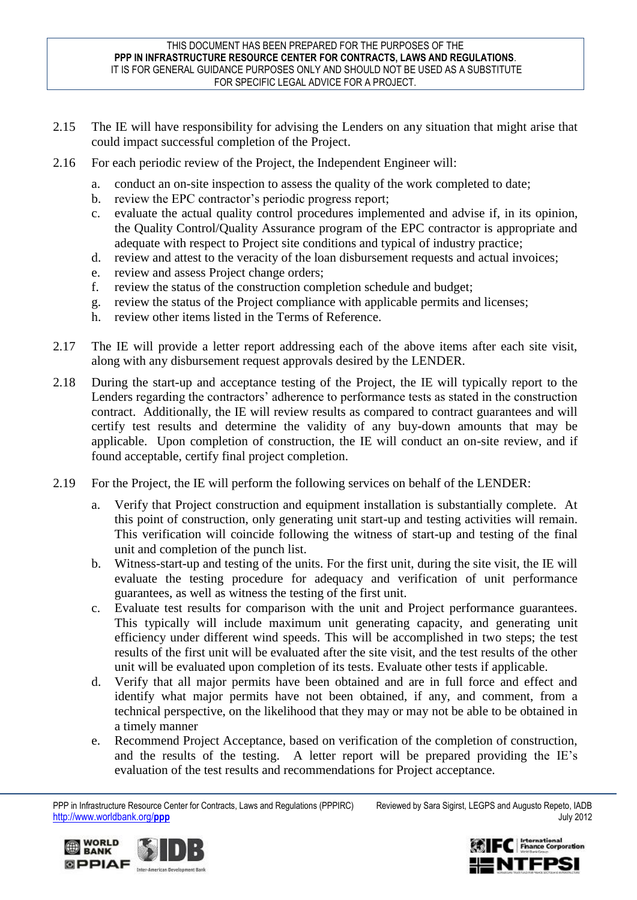#### THIS DOCUMENT HAS BEEN PREPARED FOR THE PURPOSES OF THE **PPP IN INFRASTRUCTURE RESOURCE CENTER FOR CONTRACTS, LAWS AND REGULATIONS**. IT IS FOR GENERAL GUIDANCE PURPOSES ONLY AND SHOULD NOT BE USED AS A SUBSTITUTE FOR SPECIFIC LEGAL ADVICE FOR A PROJECT.

- 2.15 The IE will have responsibility for advising the Lenders on any situation that might arise that could impact successful completion of the Project.
- 2.16 For each periodic review of the Project, the Independent Engineer will:
	- a. conduct an on-site inspection to assess the quality of the work completed to date;
	- b. review the EPC contractor's periodic progress report;
	- c. evaluate the actual quality control procedures implemented and advise if, in its opinion, the Quality Control/Quality Assurance program of the EPC contractor is appropriate and adequate with respect to Project site conditions and typical of industry practice;
	- d. review and attest to the veracity of the loan disbursement requests and actual invoices;
	- e. review and assess Project change orders;
	- f. review the status of the construction completion schedule and budget;
	- g. review the status of the Project compliance with applicable permits and licenses;
	- h. review other items listed in the Terms of Reference.
- 2.17 The IE will provide a letter report addressing each of the above items after each site visit, along with any disbursement request approvals desired by the LENDER.
- 2.18 During the start-up and acceptance testing of the Project, the IE will typically report to the Lenders regarding the contractors' adherence to performance tests as stated in the construction contract. Additionally, the IE will review results as compared to contract guarantees and will certify test results and determine the validity of any buy-down amounts that may be applicable. Upon completion of construction, the IE will conduct an on-site review, and if found acceptable, certify final project completion.
- 2.19 For the Project, the IE will perform the following services on behalf of the LENDER:
	- a. Verify that Project construction and equipment installation is substantially complete. At this point of construction, only generating unit start-up and testing activities will remain. This verification will coincide following the witness of start-up and testing of the final unit and completion of the punch list.
	- b. Witness-start-up and testing of the units. For the first unit, during the site visit, the IE will evaluate the testing procedure for adequacy and verification of unit performance guarantees, as well as witness the testing of the first unit.
	- c. Evaluate test results for comparison with the unit and Project performance guarantees. This typically will include maximum unit generating capacity, and generating unit efficiency under different wind speeds. This will be accomplished in two steps; the test results of the first unit will be evaluated after the site visit, and the test results of the other unit will be evaluated upon completion of its tests. Evaluate other tests if applicable.
	- d. Verify that all major permits have been obtained and are in full force and effect and identify what major permits have not been obtained, if any, and comment, from a technical perspective, on the likelihood that they may or may not be able to be obtained in a timely manner
	- e. Recommend Project Acceptance, based on verification of the completion of construction, and the results of the testing. A letter report will be prepared providing the IE's evaluation of the test results and recommendations for Project acceptance.

PPP in Infrastructure Resource Center for Contracts, Laws and Regulations (PPPIRC) Reviewed by Sara Sigirst, LEGPS and Augusto Repeto, IADB http://www.worldbank.org/**ppp** July 2012





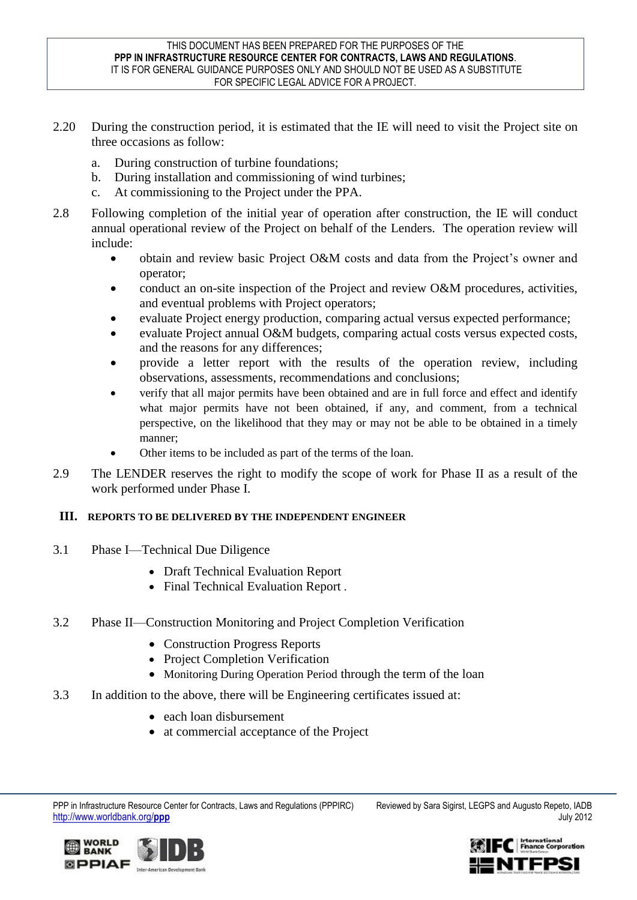- 2.20 During the construction period, it is estimated that the IE will need to visit the Project site on three occasions as follow:
	- a. During construction of turbine foundations;
	- b. During installation and commissioning of wind turbines;
	- c. At commissioning to the Project under the PPA.
- 2.8 Following completion of the initial year of operation after construction, the IE will conduct annual operational review of the Project on behalf of the Lenders. The operation review will include:
	- obtain and review basic Project O&M costs and data from the Project's owner and operator;
	- conduct an on-site inspection of the Project and review O&M procedures, activities, and eventual problems with Project operators;
	- evaluate Project energy production, comparing actual versus expected performance;
	- evaluate Project annual O&M budgets, comparing actual costs versus expected costs, and the reasons for any differences;
	- provide a letter report with the results of the operation review, including observations, assessments, recommendations and conclusions;
	- verify that all major permits have been obtained and are in full force and effect and identify what major permits have not been obtained, if any, and comment, from a technical perspective, on the likelihood that they may or may not be able to be obtained in a timely manner;
	- Other items to be included as part of the terms of the loan.
- 2.9 The LENDER reserves the right to modify the scope of work for Phase II as a result of the work performed under Phase I.

### **III. REPORTS TO BE DELIVERED BY THE INDEPENDENT ENGINEER**

- 3.1 Phase I—Technical Due Diligence
	- Draft Technical Evaluation Report
	- Final Technical Evaluation Report.
- 3.2 Phase II—Construction Monitoring and Project Completion Verification
	- Construction Progress Reports
	- Project Completion Verification
	- Monitoring During Operation Period through the term of the loan
- 3.3 In addition to the above, there will be Engineering certificates issued at:
	- each loan disbursement
	- at commercial acceptance of the Project





PPP in Infrastructure Resource Center for Contracts, Laws and Regulations (PPPIRC) Reviewed by Sara Sigirst, LEGPS and Augusto Repeto, IADB http://www.worldbank.org/**ppp** July 2012